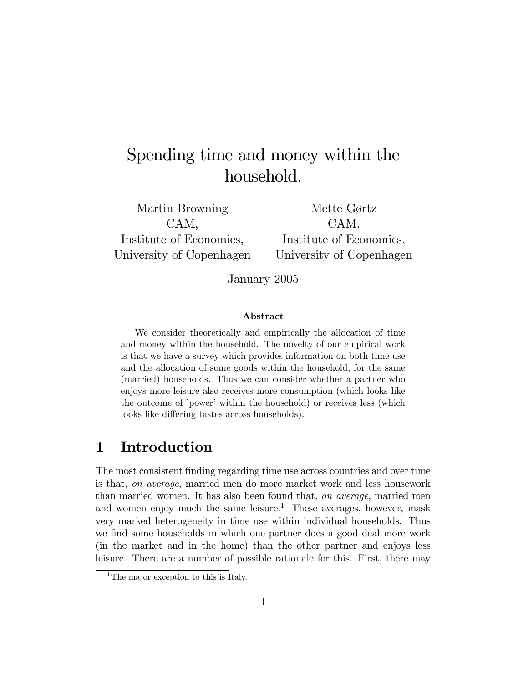# Spending time and money within the household.

Martin Browning CAM, Institute of Economics, University of Copenhagen

Mette Gørtz CAM, Institute of Economics, University of Copenhagen

January 2005

#### Abstract

We consider theoretically and empirically the allocation of time and money within the household. The novelty of our empirical work is that we have a survey which provides information on both time use and the allocation of some goods within the household, for the same (married) households. Thus we can consider whether a partner who enjoys more leisure also receives more consumption (which looks like the outcome of 'power' within the household) or receives less (which looks like differing tastes across households).

# 1 Introduction

The most consistent finding regarding time use across countries and over time is that, on average, married men do more market work and less housework than married women. It has also been found that, on average, married men and women enjoy much the same leisure.<sup>1</sup> These averages, however, mask very marked heterogeneity in time use within individual households. Thus we find some households in which one partner does a good deal more work (in the market and in the home) than the other partner and enjoys less leisure. There are a number of possible rationale for this. First, there may

<sup>&</sup>lt;sup>1</sup>The major exception to this is Italy.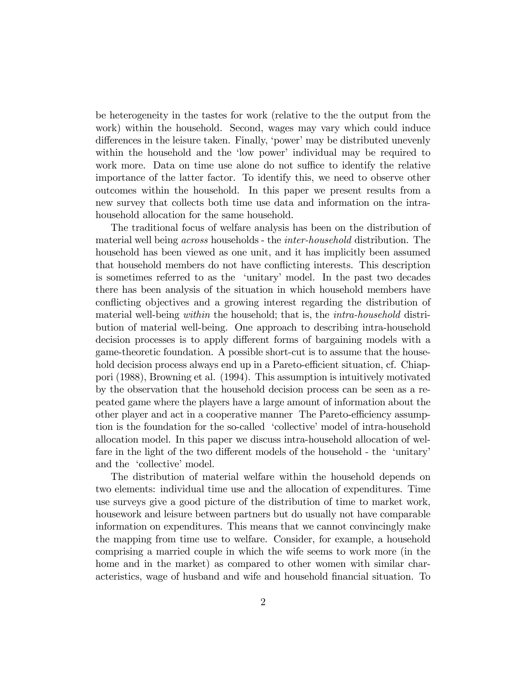be heterogeneity in the tastes for work (relative to the the output from the work) within the household. Second, wages may vary which could induce differences in the leisure taken. Finally, 'power' may be distributed unevenly within the household and the 'low power' individual may be required to work more. Data on time use alone do not suffice to identify the relative importance of the latter factor. To identify this, we need to observe other outcomes within the household. In this paper we present results from a new survey that collects both time use data and information on the intrahousehold allocation for the same household.

The traditional focus of welfare analysis has been on the distribution of material well being across households - the inter-household distribution. The household has been viewed as one unit, and it has implicitly been assumed that household members do not have conflicting interests. This description is sometimes referred to as the 'unitary' model. In the past two decades there has been analysis of the situation in which household members have conflicting objectives and a growing interest regarding the distribution of material well-being *within* the household; that is, the *intra-household* distribution of material well-being. One approach to describing intra-household decision processes is to apply different forms of bargaining models with a game-theoretic foundation. A possible short-cut is to assume that the household decision process always end up in a Pareto-efficient situation, cf. Chiappori (1988), Browning et al. (1994). This assumption is intuitively motivated by the observation that the household decision process can be seen as a repeated game where the players have a large amount of information about the other player and act in a cooperative manner The Pareto-efficiency assumption is the foundation for the so-called 'collective' model of intra-household allocation model. In this paper we discuss intra-household allocation of welfare in the light of the two different models of the household - the 'unitary' and the 'collective' model.

The distribution of material welfare within the household depends on two elements: individual time use and the allocation of expenditures. Time use surveys give a good picture of the distribution of time to market work, housework and leisure between partners but do usually not have comparable information on expenditures. This means that we cannot convincingly make the mapping from time use to welfare. Consider, for example, a household comprising a married couple in which the wife seems to work more (in the home and in the market) as compared to other women with similar characteristics, wage of husband and wife and household Önancial situation. To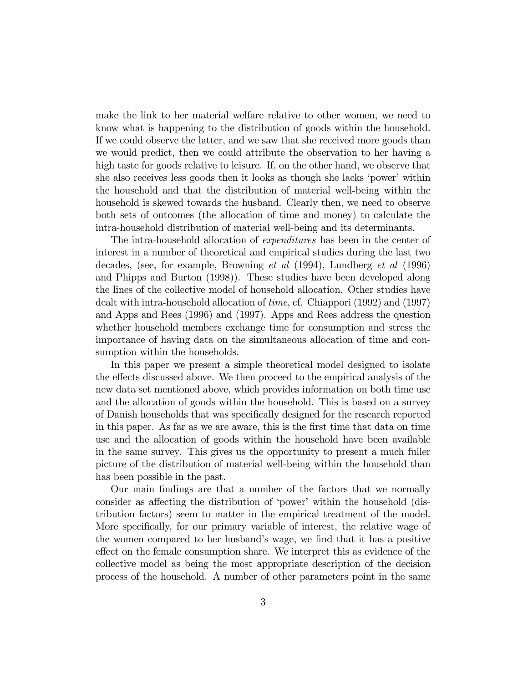make the link to her material welfare relative to other women, we need to know what is happening to the distribution of goods within the household. If we could observe the latter, and we saw that she received more goods than we would predict, then we could attribute the observation to her having a high taste for goods relative to leisure. If, on the other hand, we observe that she also receives less goods then it looks as though she lacks 'power' within the household and that the distribution of material well-being within the household is skewed towards the husband. Clearly then, we need to observe both sets of outcomes (the allocation of time and money) to calculate the intra-household distribution of material well-being and its determinants.

The intra-household allocation of *expenditures* has been in the center of interest in a number of theoretical and empirical studies during the last two decades, (see, for example, Browning et al (1994), Lundberg et al (1996) and Phipps and Burton (1998)). These studies have been developed along the lines of the collective model of household allocation. Other studies have dealt with intra-household allocation of time, cf. Chiappori (1992) and (1997) and Apps and Rees (1996) and (1997). Apps and Rees address the question whether household members exchange time for consumption and stress the importance of having data on the simultaneous allocation of time and consumption within the households.

In this paper we present a simple theoretical model designed to isolate the effects discussed above. We then proceed to the empirical analysis of the new data set mentioned above, which provides information on both time use and the allocation of goods within the household. This is based on a survey of Danish households that was specifically designed for the research reported in this paper. As far as we are aware, this is the Örst time that data on time use and the allocation of goods within the household have been available in the same survey. This gives us the opportunity to present a much fuller picture of the distribution of material well-being within the household than has been possible in the past.

Our main Öndings are that a number of the factors that we normally consider as affecting the distribution of 'power' within the household (distribution factors) seem to matter in the empirical treatment of the model. More specifically, for our primary variable of interest, the relative wage of the women compared to her husband's wage, we find that it has a positive effect on the female consumption share. We interpret this as evidence of the collective model as being the most appropriate description of the decision process of the household. A number of other parameters point in the same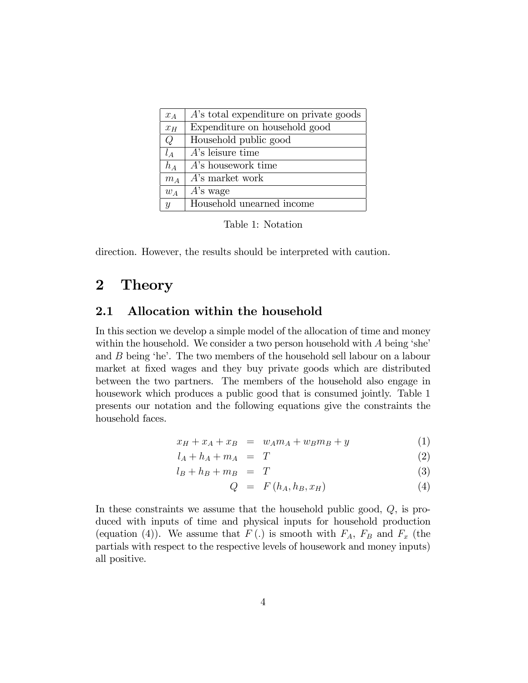| $x_A$                     | A's total expenditure on private goods |
|---------------------------|----------------------------------------|
| $x_H$                     | Expenditure on household good          |
| Q                         | Household public good                  |
| $l_A$                     | $A$ 's leisure time                    |
| $h_A$                     | A's housework time                     |
| $m_A$                     | $A$ 's market work                     |
| $w_A$                     | $A$ 's wage                            |
| $\boldsymbol{\mathit{u}}$ | Household unearned income              |

Table 1: Notation

direction. However, the results should be interpreted with caution.

# 2 Theory

#### 2.1 Allocation within the household

In this section we develop a simple model of the allocation of time and money within the household. We consider a two person household with  $A$  being 'she' and  $B$  being 'he'. The two members of the household sell labour on a labour market at fixed wages and they buy private goods which are distributed between the two partners. The members of the household also engage in housework which produces a public good that is consumed jointly. Table 1 presents our notation and the following equations give the constraints the household faces.

$$
x_H + x_A + x_B = w_A m_A + w_B m_B + y \tag{1}
$$

$$
l_A + h_A + m_A = T \tag{2}
$$

$$
l_B + h_B + m_B = T \tag{3}
$$

$$
Q = F(h_A, h_B, x_H) \tag{4}
$$

In these constraints we assume that the household public good, Q, is produced with inputs of time and physical inputs for household production (equation (4)). We assume that  $F(.)$  is smooth with  $F_A$ ,  $F_B$  and  $F_x$  (the partials with respect to the respective levels of housework and money inputs) all positive.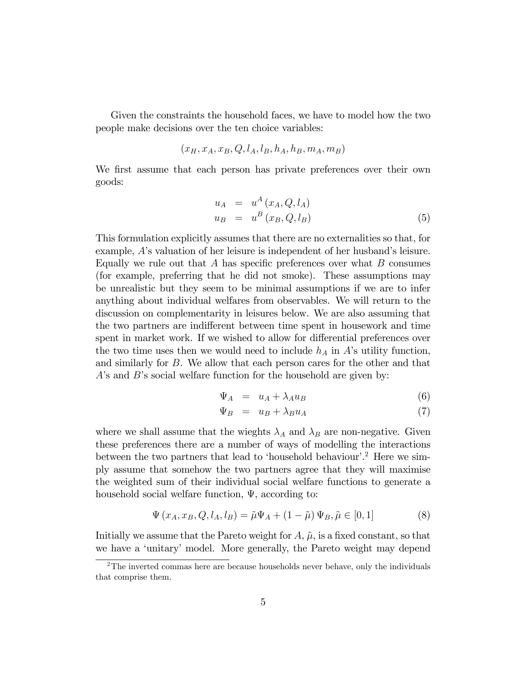Given the constraints the household faces, we have to model how the two people make decisions over the ten choice variables:

$$
(x_H, x_A, x_B, Q, l_A, l_B, h_A, h_B, m_A, m_B)
$$

We first assume that each person has private preferences over their own goods:

$$
u_A = u^A(x_A, Q, l_A)
$$
  
\n
$$
u_B = u^B(x_B, Q, l_B)
$$
\n(5)

This formulation explicitly assumes that there are no externalities so that, for example,  $A$ 's valuation of her leisure is independent of her husband's leisure. Equally we rule out that A has specific preferences over what  $B$  consumes (for example, preferring that he did not smoke). These assumptions may be unrealistic but they seem to be minimal assumptions if we are to infer anything about individual welfares from observables. We will return to the discussion on complementarity in leisures below. We are also assuming that the two partners are indifferent between time spent in housework and time spent in market work. If we wished to allow for differential preferences over the two time uses then we would need to include  $h_A$  in A's utility function, and similarly for B. We allow that each person cares for the other and that  $A$ 's and  $B$ 's social welfare function for the household are given by:

$$
\Psi_A = u_A + \lambda_A u_B \tag{6}
$$

$$
\Psi_B = u_B + \lambda_B u_A \tag{7}
$$

where we shall assume that the wieghts  $\lambda_A$  and  $\lambda_B$  are non-negative. Given these preferences there are a number of ways of modelling the interactions between the two partners that lead to 'household behaviour'.<sup>2</sup> Here we simply assume that somehow the two partners agree that they will maximise the weighted sum of their individual social welfare functions to generate a household social welfare function,  $\Psi$ , according to:

$$
\Psi(x_A, x_B, Q, l_A, l_B) = \tilde{\mu}\Psi_A + (1 - \tilde{\mu})\Psi_B, \tilde{\mu} \in [0, 1]
$$
\n(8)

Initially we assume that the Pareto weight for  $A, \tilde{\mu}$ , is a fixed constant, so that we have a 'unitary' model. More generally, the Pareto weight may depend

 $2$ The inverted commas here are because households never behave, only the individuals that comprise them.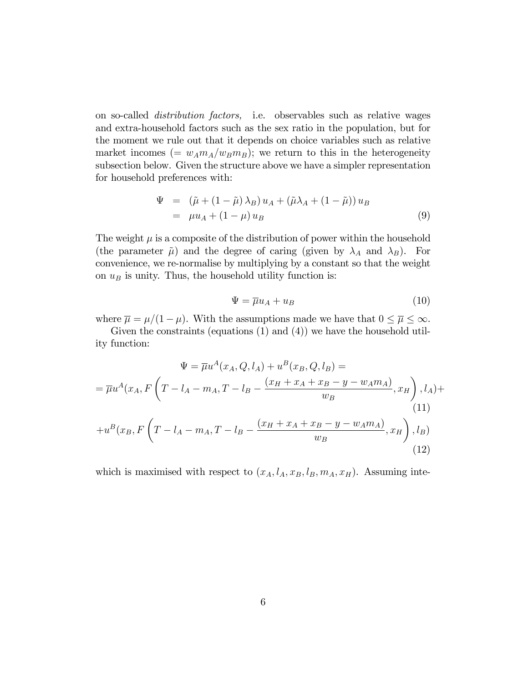on so-called distribution factors, i.e. observables such as relative wages and extra-household factors such as the sex ratio in the population, but for the moment we rule out that it depends on choice variables such as relative market incomes (=  $w_A m_A/w_B m_B$ ); we return to this in the heterogeneity subsection below. Given the structure above we have a simpler representation for household preferences with:

$$
\Psi = (\tilde{\mu} + (1 - \tilde{\mu}) \lambda_B) u_A + (\tilde{\mu} \lambda_A + (1 - \tilde{\mu})) u_B
$$
  
=  $\mu u_A + (1 - \mu) u_B$  (9)

The weight  $\mu$  is a composite of the distribution of power within the household (the parameter  $\tilde{\mu}$ ) and the degree of caring (given by  $\lambda_A$  and  $\lambda_B$ ). For convenience, we re-normalise by multiplying by a constant so that the weight on  $u_B$  is unity. Thus, the household utility function is:

$$
\Psi = \overline{\mu} u_A + u_B \tag{10}
$$

where  $\overline{\mu} = \mu/(1 - \mu)$ . With the assumptions made we have that  $0 \le \overline{\mu} \le \infty$ .

Given the constraints (equations (1) and (4)) we have the household utility function:

$$
\Psi = \overline{\mu}u^{A}(x_{A}, Q, l_{A}) + u^{B}(x_{B}, Q, l_{B}) =
$$
\n
$$
= \overline{\mu}u^{A}(x_{A}, F\left(T - l_{A} - m_{A}, T - l_{B} - \frac{(x_{H} + x_{A} + x_{B} - y - w_{A}m_{A})}{w_{B}}, x_{H}\right), l_{A}) +
$$
\n
$$
(11)
$$
\n
$$
+ u^{B}(x_{B}, F\left(T - l_{A} - m_{A}, T - l_{B} - \frac{(x_{H} + x_{A} + x_{B} - y - w_{A}m_{A})}{w_{B}}, x_{H}\right), l_{B})
$$
\n
$$
(12)
$$

which is maximised with respect to  $(x_A, l_A, x_B, l_B, m_A, x_H)$ . Assuming inte-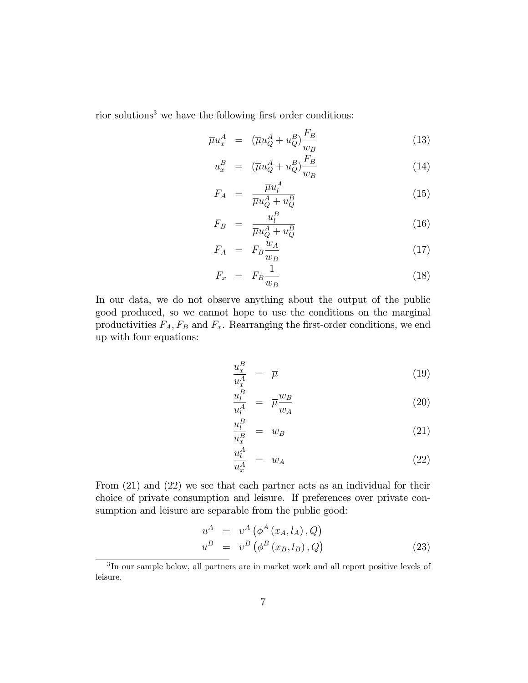rior solutions<sup>3</sup> we have the following first order conditions:

$$
\overline{\mu}u_x^A = (\overline{\mu}u_Q^A + u_Q^B)\frac{F_B}{w_B} \tag{13}
$$

$$
u_x^B = (\overline{\mu}u_Q^A + u_Q^B) \frac{F_B}{w_B} \tag{14}
$$

$$
F_A = \frac{\overline{\mu}u_l^A}{\overline{\mu}u_Q^A + u_Q^B} \tag{15}
$$

$$
F_B = \frac{u_l^B}{\overline{\mu}u_Q^A + u_Q^B} \tag{16}
$$

$$
F_A = F_B \frac{\dot{w}_A}{w_B} \tag{17}
$$

$$
F_x = F_B \frac{1}{w_B} \tag{18}
$$

In our data, we do not observe anything about the output of the public good produced, so we cannot hope to use the conditions on the marginal productivities  $F_A$ ,  $F_B$  and  $F_x$ . Rearranging the first-order conditions, we end up with four equations:

$$
\frac{u_x^B}{u_x^A} = \overline{\mu} \tag{19}
$$

$$
\frac{u_l^B}{u_l^A} = \overline{\mu} \frac{w_B}{w_A} \tag{20}
$$

$$
\frac{u_l^B}{u_x^B} = w_B \tag{21}
$$

$$
\frac{u_l^A}{u_x^A} = w_A \tag{22}
$$

From (21) and (22) we see that each partner acts as an individual for their choice of private consumption and leisure. If preferences over private consumption and leisure are separable from the public good:

$$
uA = vA (\phiA (xA, lA), Q)
$$
  

$$
uB = vB (\phiB (xB, lB), Q)
$$
 (23)

<sup>&</sup>lt;sup>3</sup>In our sample below, all partners are in market work and all report positive levels of leisure.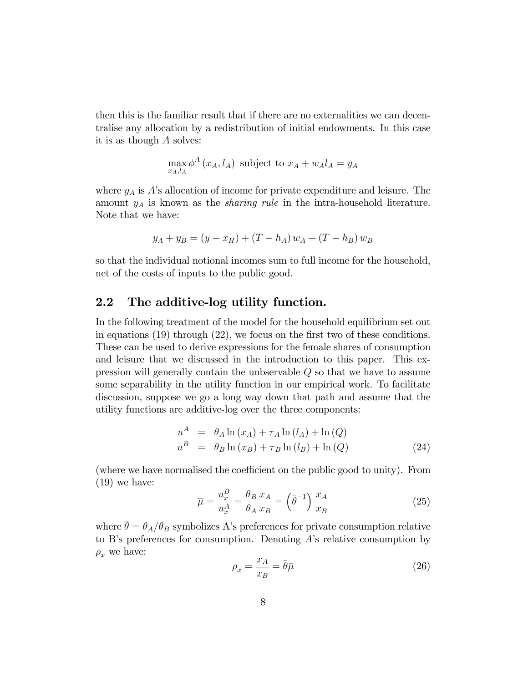then this is the familiar result that if there are no externalities we can decentralise any allocation by a redistribution of initial endowments. In this case it is as though A solves:

$$
\max_{x_A, l_A} \phi^A(x_A, l_A) \text{ subject to } x_A + w_A l_A = y_A
$$

where  $y_A$  is  $A$ 's allocation of income for private expenditure and leisure. The amount  $y_A$  is known as the *sharing rule* in the intra-household literature. Note that we have:

$$
y_A + y_B = (y - x_H) + (T - h_A) w_A + (T - h_B) w_B
$$

so that the individual notional incomes sum to full income for the household, net of the costs of inputs to the public good.

### 2.2 The additive-log utility function.

In the following treatment of the model for the household equilibrium set out in equations  $(19)$  through  $(22)$ , we focus on the first two of these conditions. These can be used to derive expressions for the female shares of consumption and leisure that we discussed in the introduction to this paper. This expression will generally contain the unbservable Q so that we have to assume some separability in the utility function in our empirical work. To facilitate discussion, suppose we go a long way down that path and assume that the utility functions are additive-log over the three components:

$$
uA = \thetaA \ln (xA) + \tauA \ln (lA) + \ln (Q)
$$
  

$$
uB = \thetaB \ln (xB) + \tauB \ln (lB) + \ln (Q)
$$
 (24)

(where we have normalised the coefficient on the public good to unity). From (19) we have:

$$
\overline{\mu} = \frac{u_x^B}{u_x^A} = \frac{\theta_B}{\theta_A} \frac{x_A}{x_B} = \left(\overline{\theta}^{-1}\right) \frac{x_A}{x_B} \tag{25}
$$

where  $\bar{\theta} = \theta_A/\theta_B$  symbolizes A's preferences for private consumption relative to B's preferences for consumption. Denoting  $A$ 's relative consumption by  $\rho_x$  we have:

$$
\rho_x = \frac{x_A}{x_B} = \bar{\theta}\bar{\mu} \tag{26}
$$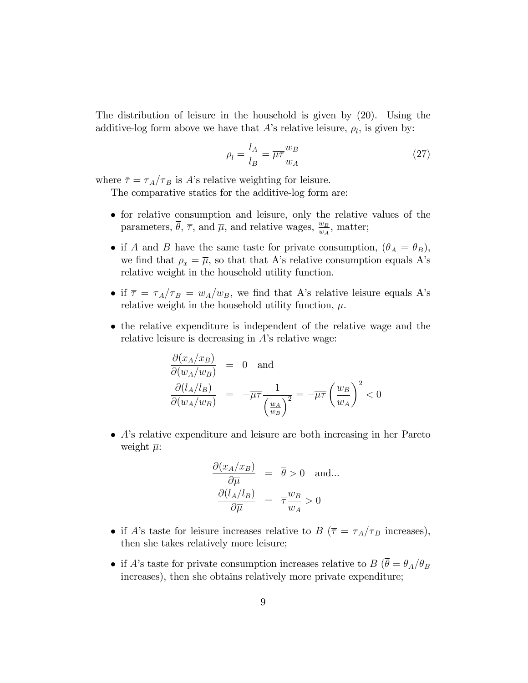The distribution of leisure in the household is given by (20). Using the additive-log form above we have that A's relative leisure,  $\rho_l$ , is given by:

$$
\rho_l = \frac{l_A}{l_B} = \overline{\mu \tau} \frac{w_B}{w_A} \tag{27}
$$

where  $\bar{\tau} = \tau_A/\tau_B$  is A's relative weighting for leisure.

The comparative statics for the additive-log form are:

- for relative consumption and leisure, only the relative values of the parameters,  $\overline{\theta}$ ,  $\overline{\tau}$ , and  $\overline{\mu}$ , and relative wages,  $\frac{w_B}{w_A}$ , matter;
- if A and B have the same taste for private consumption,  $(\theta_A = \theta_B)$ , we find that  $\rho_x = \overline{\mu}$ , so that that A's relative consumption equals A's relative weight in the household utility function.
- if  $\bar{\tau} = \tau_A/\tau_B = w_A/w_B$ , we find that A's relative leisure equals A's relative weight in the household utility function,  $\overline{\mu}$ .
- the relative expenditure is independent of the relative wage and the relative leisure is decreasing in  $A$ 's relative wage:

$$
\frac{\partial(x_A/x_B)}{\partial(w_A/w_B)} = 0 \text{ and}
$$

$$
\frac{\partial(l_A/l_B)}{\partial(w_A/w_B)} = -\overline{\mu}\overline{\tau} \frac{1}{\left(\frac{w_A}{w_B}\right)^2} = -\overline{\mu}\overline{\tau} \left(\frac{w_B}{w_A}\right)^2 < 0
$$

 $\bullet$  A's relative expenditure and leisure are both increasing in her Pareto weight  $\overline{\mu}$ :

$$
\frac{\partial (x_A/x_B)}{\partial \overline{\mu}} = \overline{\theta} > 0 \text{ and...}
$$

$$
\frac{\partial (l_A/l_B)}{\partial \overline{\mu}} = \overline{\tau} \frac{w_B}{w_A} > 0
$$

- if A's taste for leisure increases relative to B ( $\bar{\tau} = \tau_A/\tau_B$  increases), then she takes relatively more leisure;
- if A's taste for private consumption increases relative to B ( $\overline{\theta} = \theta_A/\theta_B$ ) increases), then she obtains relatively more private expenditure;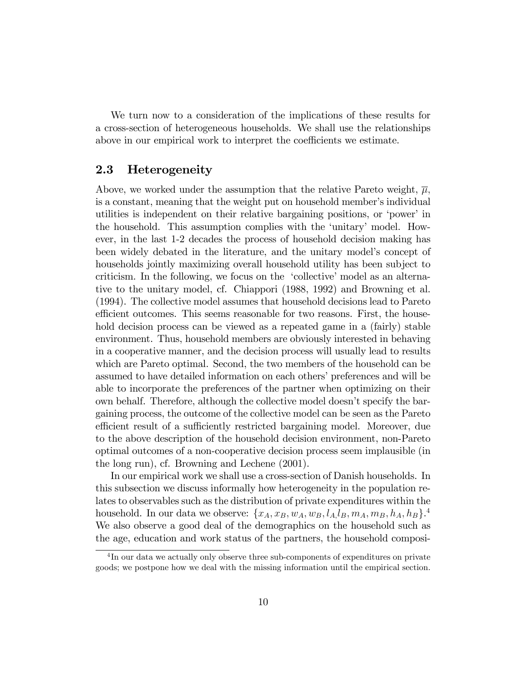We turn now to a consideration of the implications of these results for a cross-section of heterogeneous households. We shall use the relationships above in our empirical work to interpret the coefficients we estimate.

#### 2.3 Heterogeneity

Above, we worked under the assumption that the relative Pareto weight,  $\overline{\mu}$ , is a constant, meaning that the weight put on household member's individual utilities is independent on their relative bargaining positions, or 'power' in the household. This assumption complies with the 'unitary' model. However, in the last 1-2 decades the process of household decision making has been widely debated in the literature, and the unitary model's concept of households jointly maximizing overall household utility has been subject to criticism. In the following, we focus on the 'collective' model as an alternative to the unitary model, cf. Chiappori (1988, 1992) and Browning et al. (1994). The collective model assumes that household decisions lead to Pareto efficient outcomes. This seems reasonable for two reasons. First, the household decision process can be viewed as a repeated game in a (fairly) stable environment. Thus, household members are obviously interested in behaving in a cooperative manner, and the decision process will usually lead to results which are Pareto optimal. Second, the two members of the household can be assumed to have detailed information on each others' preferences and will be able to incorporate the preferences of the partner when optimizing on their own behalf. Therefore, although the collective model doesnít specify the bargaining process, the outcome of the collective model can be seen as the Pareto efficient result of a sufficiently restricted bargaining model. Moreover, due to the above description of the household decision environment, non-Pareto optimal outcomes of a non-cooperative decision process seem implausible (in the long run), cf. Browning and Lechene (2001).

In our empirical work we shall use a cross-section of Danish households. In this subsection we discuss informally how heterogeneity in the population relates to observables such as the distribution of private expenditures within the household. In our data we observe:  $\{x_A, x_B, w_A, w_B, l_A, l_B, m_A, m_B, h_A, h_B\}$ <sup>4</sup> We also observe a good deal of the demographics on the household such as the age, education and work status of the partners, the household composi-

<sup>&</sup>lt;sup>4</sup>In our data we actually only observe three sub-components of expenditures on private goods; we postpone how we deal with the missing information until the empirical section.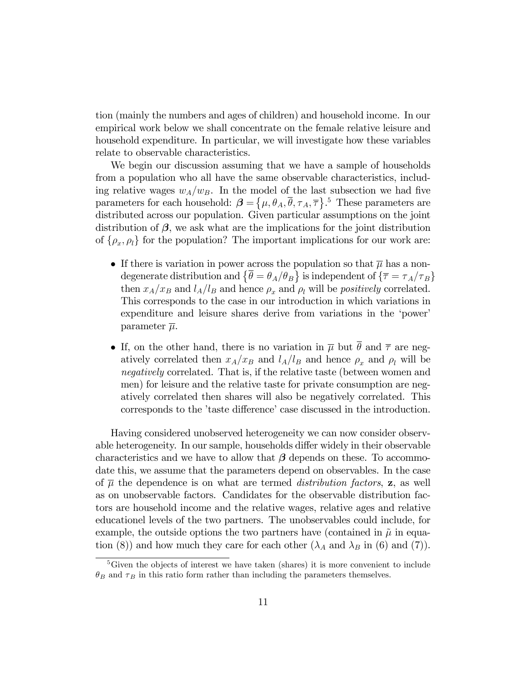tion (mainly the numbers and ages of children) and household income. In our empirical work below we shall concentrate on the female relative leisure and household expenditure. In particular, we will investigate how these variables relate to observable characteristics.

We begin our discussion assuming that we have a sample of households from a population who all have the same observable characteristics, including relative wages  $w_A/w_B$ . In the model of the last subsection we had five parameters for each household:  $\boldsymbol{\beta} = \{\mu, \theta_A, \overline{\theta}, \tau_A, \overline{\tau}\}$ .<sup>5</sup> These parameters are distributed across our population. Given particular assumptions on the joint distribution of  $\beta$ , we ask what are the implications for the joint distribution of  $\{\rho_x, \rho_l\}$  for the population? The important implications for our work are:

- If there is variation in power across the population so that  $\bar{\mu}$  has a nondegenerate distribution and  $\{\overline{\theta} = \theta_A/\theta_B\}$  is independent of  $\{\overline{\tau} = \tau_A/\tau_B\}$ then  $x_A/x_B$  and  $l_A/l_B$  and hence  $\rho_x$  and  $\rho_l$  will be *positively* correlated. This corresponds to the case in our introduction in which variations in expenditure and leisure shares derive from variations in the 'power' parameter  $\overline{\mu}$ .
- If, on the other hand, there is no variation in  $\overline{\mu}$  but  $\overline{\theta}$  and  $\overline{\tau}$  are negatively correlated then  $x_A/x_B$  and  $l_A/l_B$  and hence  $\rho_x$  and  $\rho_l$  will be negatively correlated. That is, if the relative taste (between women and men) for leisure and the relative taste for private consumption are negatively correlated then shares will also be negatively correlated. This corresponds to the 'taste difference' case discussed in the introduction.

Having considered unobserved heterogeneity we can now consider observable heterogeneity. In our sample, households differ widely in their observable characteristics and we have to allow that  $\beta$  depends on these. To accommodate this, we assume that the parameters depend on observables. In the case of  $\overline{\mu}$  the dependence is on what are termed *distribution factors*, **z**, as well as on unobservable factors. Candidates for the observable distribution factors are household income and the relative wages, relative ages and relative educationel levels of the two partners. The unobservables could include, for example, the outside options the two partners have (contained in  $\tilde{\mu}$  in equation (8)) and how much they care for each other  $(\lambda_A \text{ and } \lambda_B \text{ in } (6) \text{ and } (7)).$ 

<sup>5</sup>Given the objects of interest we have taken (shares) it is more convenient to include  $\theta_B$  and  $\tau_B$  in this ratio form rather than including the parameters themselves.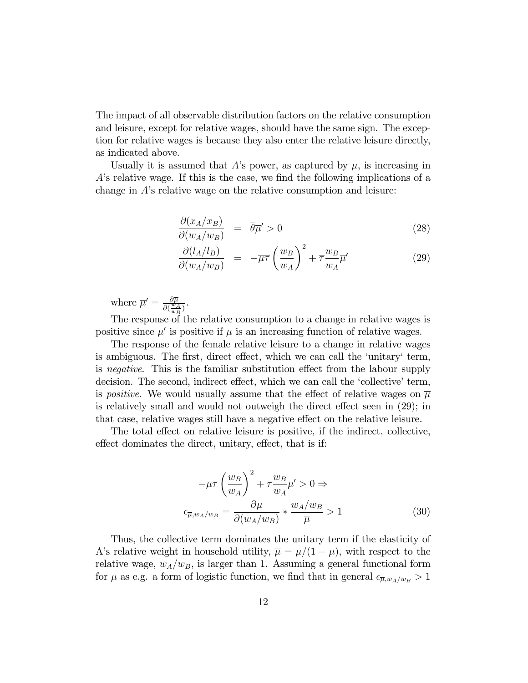The impact of all observable distribution factors on the relative consumption and leisure, except for relative wages, should have the same sign. The exception for relative wages is because they also enter the relative leisure directly, as indicated above.

Usually it is assumed that A's power, as captured by  $\mu$ , is increasing in  $A$ 's relative wage. If this is the case, we find the following implications of a change in  $A$ 's relative wage on the relative consumption and leisure:

$$
\frac{\partial (x_A/x_B)}{\partial (w_A/w_B)} = \overline{\theta}\overline{\mu}^{\prime} > 0
$$
\n(28)

$$
\frac{\partial (l_A/l_B)}{\partial (w_A/w_B)} = -\overline{\mu}\overline{\tau} \left(\frac{w_B}{w_A}\right)^2 + \overline{\tau} \frac{w_B}{w_A} \overline{\mu}' \tag{29}
$$

where  $\overline{\mu}' = \frac{\partial \overline{\mu}}{\partial (w)}$  $\frac{\partial \mu}{\partial (\frac{w_A}{w_B})}.$ 

The response of the relative consumption to a change in relative wages is positive since  $\bar{\mu}'$  is positive if  $\mu$  is an increasing function of relative wages.

The response of the female relative leisure to a change in relative wages is ambiguous. The first, direct effect, which we can call the 'unitary' term, is *negative*. This is the familiar substitution effect from the labour supply decision. The second, indirect effect, which we can call the 'collective' term, is positive. We would usually assume that the effect of relative wages on  $\overline{\mu}$ is relatively small and would not outweigh the direct effect seen in  $(29)$ ; in that case, relative wages still have a negative effect on the relative leisure.

The total effect on relative leisure is positive, if the indirect, collective, effect dominates the direct, unitary, effect, that is if:

$$
-\overline{\mu}\tau \left(\frac{w_B}{w_A}\right)^2 + \overline{\tau} \frac{w_B}{w_A} \overline{\mu}' > 0 \Rightarrow
$$

$$
\epsilon_{\overline{\mu}, w_A/w_B} = \frac{\partial \overline{\mu}}{\partial (w_A/w_B)} * \frac{w_A/w_B}{\overline{\mu}} > 1
$$
(30)

Thus, the collective term dominates the unitary term if the elasticity of A's relative weight in household utility,  $\bar{\mu} = \mu/(1 - \mu)$ , with respect to the relative wage,  $w_A/w_B$ , is larger than 1. Assuming a general functional form for  $\mu$  as e.g. a form of logistic function, we find that in general  $\epsilon_{\overline{\mu},w_A/w_B} > 1$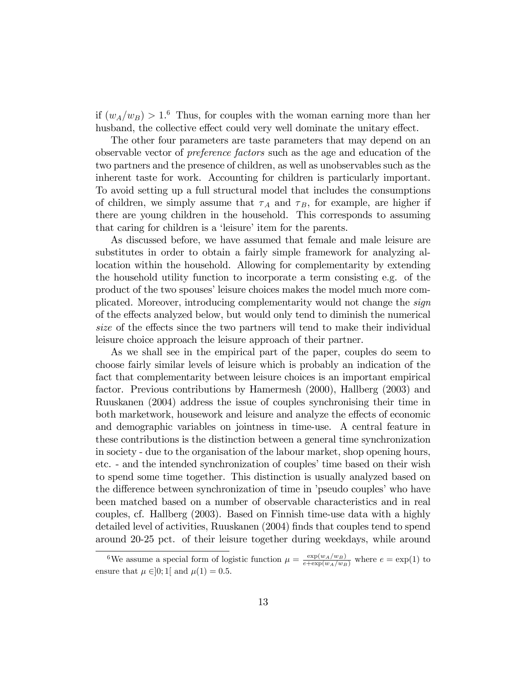if  $(w_A/w_B) > 1.6$  Thus, for couples with the woman earning more than her husband, the collective effect could very well dominate the unitary effect.

The other four parameters are taste parameters that may depend on an observable vector of preference factors such as the age and education of the two partners and the presence of children, as well as unobservables such as the inherent taste for work. Accounting for children is particularly important. To avoid setting up a full structural model that includes the consumptions of children, we simply assume that  $\tau_A$  and  $\tau_B$ , for example, are higher if there are young children in the household. This corresponds to assuming that caring for children is a 'leisure' item for the parents.

As discussed before, we have assumed that female and male leisure are substitutes in order to obtain a fairly simple framework for analyzing allocation within the household. Allowing for complementarity by extending the household utility function to incorporate a term consisting e.g. of the product of the two spouses' leisure choices makes the model much more complicated. Moreover, introducing complementarity would not change the sign of the effects analyzed below, but would only tend to diminish the numerical size of the effects since the two partners will tend to make their individual leisure choice approach the leisure approach of their partner.

As we shall see in the empirical part of the paper, couples do seem to choose fairly similar levels of leisure which is probably an indication of the fact that complementarity between leisure choices is an important empirical factor. Previous contributions by Hamermesh (2000), Hallberg (2003) and Ruuskanen (2004) address the issue of couples synchronising their time in both marketwork, housework and leisure and analyze the effects of economic and demographic variables on jointness in time-use. A central feature in these contributions is the distinction between a general time synchronization in society - due to the organisation of the labour market, shop opening hours, etc. - and the intended synchronization of couples' time based on their wish to spend some time together. This distinction is usually analyzed based on the difference between synchronization of time in 'pseudo couples' who have been matched based on a number of observable characteristics and in real couples, cf. Hallberg (2003). Based on Finnish time-use data with a highly detailed level of activities, Ruuskanen (2004) Önds that couples tend to spend around 20-25 pct. of their leisure together during weekdays, while around

<sup>&</sup>lt;sup>6</sup>We assume a special form of logistic function  $\mu = \frac{\exp(w_A/w_B)}{e + \exp(w_A/w_B)}$  where  $e = \exp(1)$  to ensure that  $\mu \in ]0;1[$  and  $\mu(1) = 0.5$ .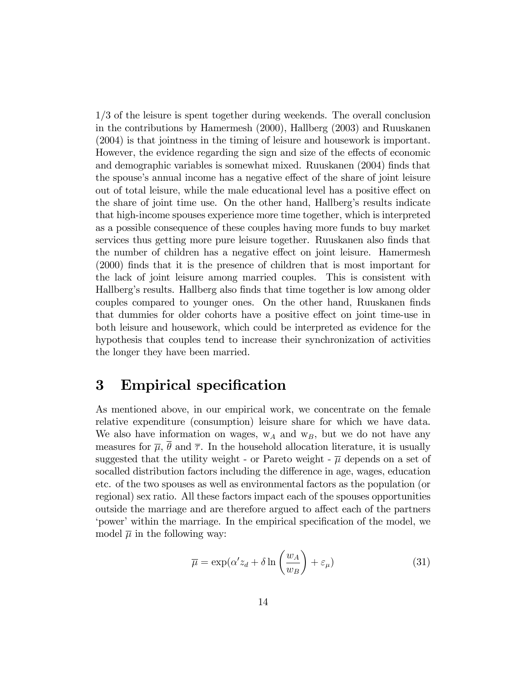1/3 of the leisure is spent together during weekends. The overall conclusion in the contributions by Hamermesh (2000), Hallberg (2003) and Ruuskanen (2004) is that jointness in the timing of leisure and housework is important. However, the evidence regarding the sign and size of the effects of economic and demographic variables is somewhat mixed. Ruuskanen (2004) Önds that the spouse's annual income has a negative effect of the share of joint leisure out of total leisure, while the male educational level has a positive effect on the share of joint time use. On the other hand, Hallbergís results indicate that high-income spouses experience more time together, which is interpreted as a possible consequence of these couples having more funds to buy market services thus getting more pure leisure together. Ruuskanen also finds that the number of children has a negative effect on joint leisure. Hamermesh (2000) finds that it is the presence of children that is most important for the lack of joint leisure among married couples. This is consistent with Hallberg's results. Hallberg also finds that time together is low among older couples compared to younger ones. On the other hand, Ruuskanen finds that dummies for older cohorts have a positive effect on joint time-use in both leisure and housework, which could be interpreted as evidence for the hypothesis that couples tend to increase their synchronization of activities the longer they have been married.

### 3 Empirical specification

As mentioned above, in our empirical work, we concentrate on the female relative expenditure (consumption) leisure share for which we have data. We also have information on wages,  $w_A$  and  $w_B$ , but we do not have any measures for  $\overline{\mu}$ ,  $\overline{\theta}$  and  $\overline{\tau}$ . In the household allocation literature, it is usually suggested that the utility weight - or Pareto weight -  $\overline{\mu}$  depends on a set of socalled distribution factors including the difference in age, wages, education etc. of the two spouses as well as environmental factors as the population (or regional) sex ratio. All these factors impact each of the spouses opportunities outside the marriage and are therefore argued to affect each of the partners power' within the marriage. In the empirical specification of the model, we model  $\overline{\mu}$  in the following way:

$$
\overline{\mu} = \exp(\alpha' z_d + \delta \ln\left(\frac{w_A}{w_B}\right) + \varepsilon_\mu)
$$
\n(31)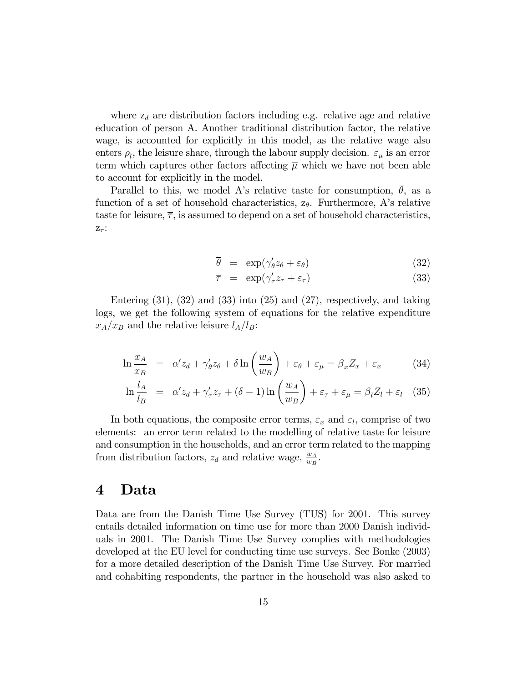where  $z_d$  are distribution factors including e.g. relative age and relative education of person A. Another traditional distribution factor, the relative wage, is accounted for explicitly in this model, as the relative wage also enters  $\rho_l$ , the leisure share, through the labour supply decision.  $\varepsilon_{\mu}$  is an error term which captures other factors affecting  $\overline{\mu}$  which we have not been able to account for explicitly in the model.

Parallel to this, we model A's relative taste for consumption,  $\bar{\theta}$ , as a function of a set of household characteristics,  $z_{\theta}$ . Furthermore, A's relative taste for leisure,  $\bar{\tau}$ , is assumed to depend on a set of household characteristics,  $Z_{\tau}$ :

$$
\theta = \exp(\gamma_{\theta}' z_{\theta} + \varepsilon_{\theta}) \tag{32}
$$

$$
\overline{\tau} = \exp(\gamma_{\tau}^{\prime} z_{\tau} + \varepsilon_{\tau}) \tag{33}
$$

Entering  $(31)$ ,  $(32)$  and  $(33)$  into  $(25)$  and  $(27)$ , respectively, and taking logs, we get the following system of equations for the relative expenditure  $x_A/x_B$  and the relative leisure  $l_A/l_B$ :

$$
\ln \frac{x_A}{x_B} = \alpha' z_d + \gamma'_{\theta} z_{\theta} + \delta \ln \left( \frac{w_A}{w_B} \right) + \varepsilon_{\theta} + \varepsilon_{\mu} = \beta_x Z_x + \varepsilon_x \tag{34}
$$

$$
\ln \frac{l_A}{l_B} = \alpha' z_d + \gamma'_\tau z_\tau + (\delta - 1) \ln \left( \frac{w_A}{w_B} \right) + \varepsilon_\tau + \varepsilon_\mu = \beta_l Z_l + \varepsilon_l \quad (35)
$$

In both equations, the composite error terms,  $\varepsilon_x$  and  $\varepsilon_l$ , comprise of two elements: an error term related to the modelling of relative taste for leisure and consumption in the households, and an error term related to the mapping from distribution factors,  $z_d$  and relative wage,  $\frac{w_A}{w_B}$ .

### 4 Data

Data are from the Danish Time Use Survey (TUS) for 2001. This survey entails detailed information on time use for more than 2000 Danish individuals in 2001. The Danish Time Use Survey complies with methodologies developed at the EU level for conducting time use surveys. See Bonke (2003) for a more detailed description of the Danish Time Use Survey. For married and cohabiting respondents, the partner in the household was also asked to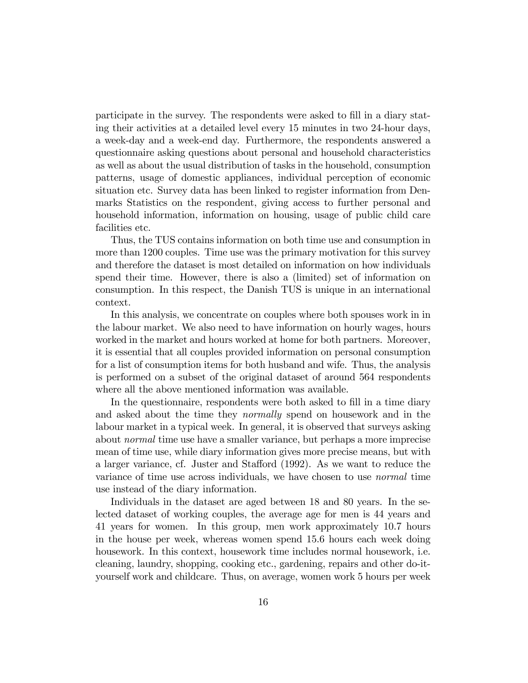participate in the survey. The respondents were asked to fill in a diary stating their activities at a detailed level every 15 minutes in two 24-hour days, a week-day and a week-end day. Furthermore, the respondents answered a questionnaire asking questions about personal and household characteristics as well as about the usual distribution of tasks in the household, consumption patterns, usage of domestic appliances, individual perception of economic situation etc. Survey data has been linked to register information from Denmarks Statistics on the respondent, giving access to further personal and household information, information on housing, usage of public child care facilities etc.

Thus, the TUS contains information on both time use and consumption in more than 1200 couples. Time use was the primary motivation for this survey and therefore the dataset is most detailed on information on how individuals spend their time. However, there is also a (limited) set of information on consumption. In this respect, the Danish TUS is unique in an international context.

In this analysis, we concentrate on couples where both spouses work in in the labour market. We also need to have information on hourly wages, hours worked in the market and hours worked at home for both partners. Moreover, it is essential that all couples provided information on personal consumption for a list of consumption items for both husband and wife. Thus, the analysis is performed on a subset of the original dataset of around 564 respondents where all the above mentioned information was available.

In the questionnaire, respondents were both asked to fill in a time diary and asked about the time they normally spend on housework and in the labour market in a typical week. In general, it is observed that surveys asking about normal time use have a smaller variance, but perhaps a more imprecise mean of time use, while diary information gives more precise means, but with a larger variance, cf. Juster and Stafford (1992). As we want to reduce the variance of time use across individuals, we have chosen to use normal time use instead of the diary information.

Individuals in the dataset are aged between 18 and 80 years. In the selected dataset of working couples, the average age for men is 44 years and 41 years for women. In this group, men work approximately 10.7 hours in the house per week, whereas women spend 15.6 hours each week doing housework. In this context, housework time includes normal housework, i.e. cleaning, laundry, shopping, cooking etc., gardening, repairs and other do-ityourself work and childcare. Thus, on average, women work 5 hours per week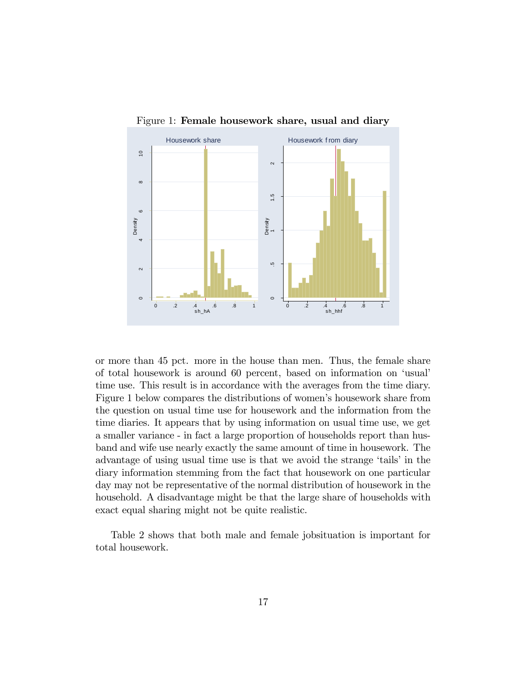

Figure 1: Female housework share, usual and diary

or more than 45 pct. more in the house than men. Thus, the female share of total housework is around 60 percent, based on information on 'usual' time use. This result is in accordance with the averages from the time diary. Figure 1 below compares the distributions of women's housework share from the question on usual time use for housework and the information from the time diaries. It appears that by using information on usual time use, we get a smaller variance - in fact a large proportion of households report than husband and wife use nearly exactly the same amount of time in housework. The advantage of using usual time use is that we avoid the strange 'tails' in the diary information stemming from the fact that housework on one particular day may not be representative of the normal distribution of housework in the household. A disadvantage might be that the large share of households with exact equal sharing might not be quite realistic.

Table 2 shows that both male and female jobsituation is important for total housework.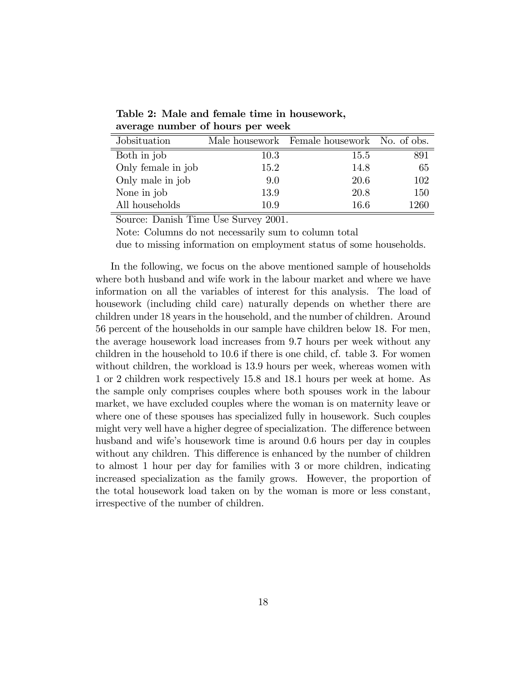| Jobsituation       |      | Male housework Female housework No. of obs. |      |
|--------------------|------|---------------------------------------------|------|
| Both in job        | 10.3 | 15.5                                        | 891  |
| Only female in job | 15.2 | 14.8                                        | 65   |
| Only male in job   | 9.0  | 20.6                                        | 102  |
| None in job        | 13.9 | 20.8                                        | 150  |
| All households     | 10.9 | 16.6                                        | 1260 |

Table 2: Male and female time in housework, average number of hours per week

Source: Danish Time Use Survey 2001.

Note: Columns do not necessarily sum to column total

due to missing information on employment status of some households.

In the following, we focus on the above mentioned sample of households where both husband and wife work in the labour market and where we have information on all the variables of interest for this analysis. The load of housework (including child care) naturally depends on whether there are children under 18 years in the household, and the number of children. Around 56 percent of the households in our sample have children below 18. For men, the average housework load increases from 9.7 hours per week without any children in the household to 10.6 if there is one child, cf. table 3. For women without children, the workload is 13.9 hours per week, whereas women with 1 or 2 children work respectively 15.8 and 18.1 hours per week at home. As the sample only comprises couples where both spouses work in the labour market, we have excluded couples where the woman is on maternity leave or where one of these spouses has specialized fully in housework. Such couples might very well have a higher degree of specialization. The difference between husband and wife's housework time is around 0.6 hours per day in couples without any children. This difference is enhanced by the number of children to almost 1 hour per day for families with 3 or more children, indicating increased specialization as the family grows. However, the proportion of the total housework load taken on by the woman is more or less constant, irrespective of the number of children.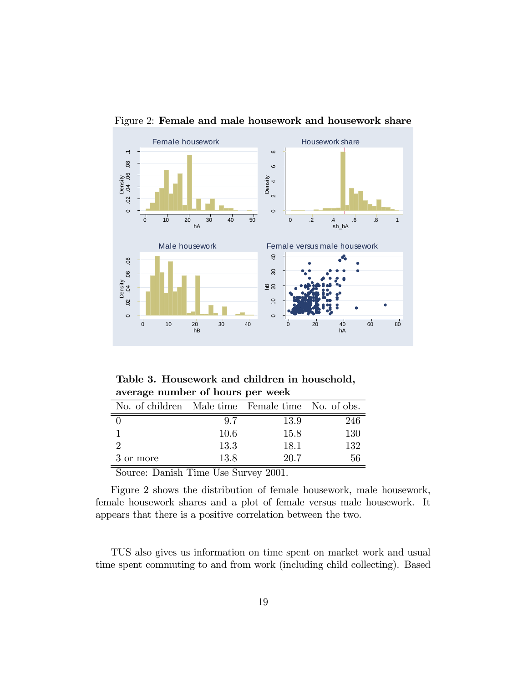

Figure 2: Female and male housework and housework share

Table 3. Housework and children in household, average number of hours per week

| No. of children Male time Female time No. of obs. |      |      |     |
|---------------------------------------------------|------|------|-----|
|                                                   | 97   | 13.9 | 246 |
|                                                   | 10.6 | 15.8 | 130 |
|                                                   | 13.3 | 18.1 | 132 |
| 3 or more                                         | 13.8 | 20.7 | 56  |

Source: Danish Time Use Survey 2001.

Figure 2 shows the distribution of female housework, male housework, female housework shares and a plot of female versus male housework. It appears that there is a positive correlation between the two.

TUS also gives us information on time spent on market work and usual time spent commuting to and from work (including child collecting). Based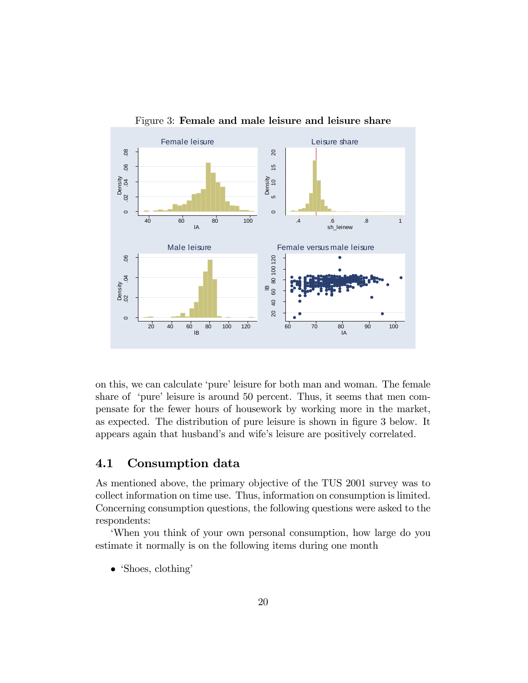

Figure 3: Female and male leisure and leisure share

on this, we can calculate 'pure' leisure for both man and woman. The female share of 'pure' leisure is around 50 percent. Thus, it seems that men compensate for the fewer hours of housework by working more in the market, as expected. The distribution of pure leisure is shown in figure 3 below. It appears again that husband's and wife's leisure are positively correlated.

#### 4.1 Consumption data

As mentioned above, the primary objective of the TUS 2001 survey was to collect information on time use. Thus, information on consumption is limited. Concerning consumption questions, the following questions were asked to the respondents:

ëWhen you think of your own personal consumption, how large do you estimate it normally is on the following items during one month

 $\bullet$  'Shoes, clothing'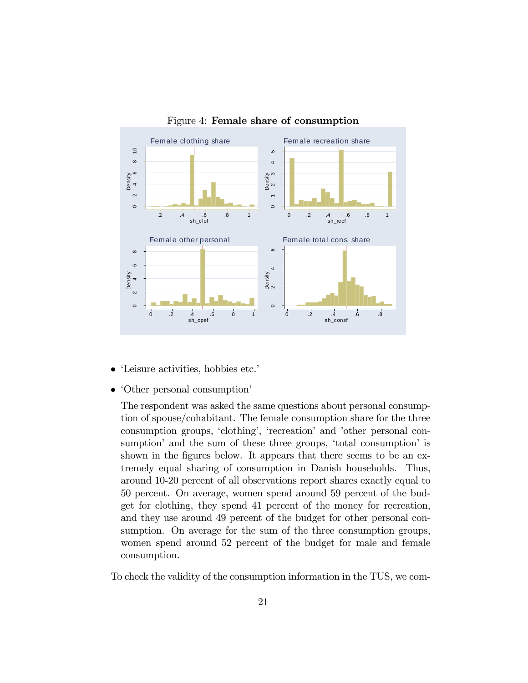

Figure 4: Female share of consumption

- 'Leisure activities, hobbies etc.'
- $\bullet$  'Other personal consumption'

The respondent was asked the same questions about personal consumption of spouse/cohabitant. The female consumption share for the three consumption groups, 'clothing', 'recreation' and 'other personal consumption<sup>'</sup> and the sum of these three groups, 'total consumption' is shown in the figures below. It appears that there seems to be an extremely equal sharing of consumption in Danish households. Thus, around 10-20 percent of all observations report shares exactly equal to 50 percent. On average, women spend around 59 percent of the budget for clothing, they spend 41 percent of the money for recreation, and they use around 49 percent of the budget for other personal consumption. On average for the sum of the three consumption groups, women spend around 52 percent of the budget for male and female consumption.

To check the validity of the consumption information in the TUS, we com-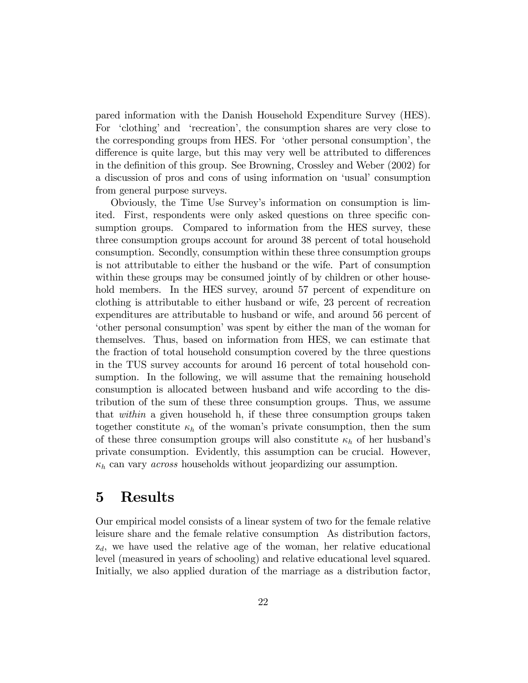pared information with the Danish Household Expenditure Survey (HES). For 'clothing' and 'recreation', the consumption shares are very close to the corresponding groups from HES. For 'other personal consumption', the difference is quite large, but this may very well be attributed to differences in the definition of this group. See Browning, Crossley and Weber (2002) for a discussion of pros and cons of using information on 'usual' consumption from general purpose surveys.

Obviously, the Time Use Surveyís information on consumption is limited. First, respondents were only asked questions on three specific consumption groups. Compared to information from the HES survey, these three consumption groups account for around 38 percent of total household consumption. Secondly, consumption within these three consumption groups is not attributable to either the husband or the wife. Part of consumption within these groups may be consumed jointly of by children or other household members. In the HES survey, around 57 percent of expenditure on clothing is attributable to either husband or wife, 23 percent of recreation expenditures are attributable to husband or wife, and around 56 percent of ëother personal consumptioníwas spent by either the man of the woman for themselves. Thus, based on information from HES, we can estimate that the fraction of total household consumption covered by the three questions in the TUS survey accounts for around 16 percent of total household consumption. In the following, we will assume that the remaining household consumption is allocated between husband and wife according to the distribution of the sum of these three consumption groups. Thus, we assume that within a given household h, if these three consumption groups taken together constitute  $\kappa_h$  of the woman's private consumption, then the sum of these three consumption groups will also constitute  $\kappa_h$  of her husband's private consumption. Evidently, this assumption can be crucial. However,  $\kappa_h$  can vary *across* households without jeopardizing our assumption.

## 5 Results

Our empirical model consists of a linear system of two for the female relative leisure share and the female relative consumption As distribution factors,  $z_d$ , we have used the relative age of the woman, her relative educational level (measured in years of schooling) and relative educational level squared. Initially, we also applied duration of the marriage as a distribution factor,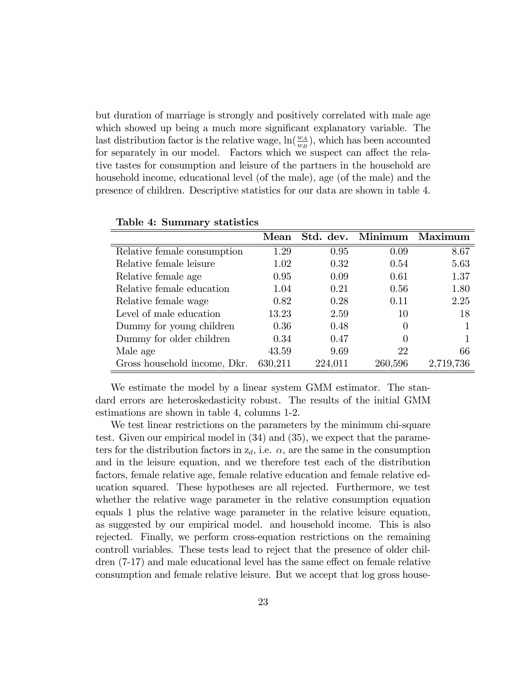but duration of marriage is strongly and positively correlated with male age which showed up being a much more significant explanatory variable. The last distribution factor is the relative wage,  $\ln(\frac{w_A}{w_B})$ , which has been accounted for separately in our model. Factors which we suspect can affect the relative tastes for consumption and leisure of the partners in the household are household income, educational level (of the male), age (of the male) and the presence of children. Descriptive statistics for our data are shown in table 4.

|                              | Mean    |         | Std. dev. Minimum | Maximum   |
|------------------------------|---------|---------|-------------------|-----------|
| Relative female consumption  | 1.29    | 0.95    | 0.09              | 8.67      |
| Relative female leisure      | 1.02    | 0.32    | 0.54              | 5.63      |
| Relative female age          | 0.95    | 0.09    | 0.61              | 1.37      |
| Relative female education    | 1.04    | 0.21    | 0.56              | 1.80      |
| Relative female wage         | 0.82    | 0.28    | 0.11              | 2.25      |
| Level of male education      | 13.23   | 2.59    | 10                | 18        |
| Dummy for young children     | 0.36    | 0.48    | $\theta$          |           |
| Dummy for older children     | 0.34    | 0.47    | $\left( \right)$  |           |
| Male age                     | 43.59   | 9.69    | 22                | 66        |
| Gross household income, Dkr. | 630,211 | 224,011 | 260,596           | 2,719,736 |

|  | Table 4: Summary statistics |  |
|--|-----------------------------|--|
|--|-----------------------------|--|

We estimate the model by a linear system GMM estimator. The standard errors are heteroskedasticity robust. The results of the initial GMM estimations are shown in table 4, columns 1-2.

We test linear restrictions on the parameters by the minimum chi-square test. Given our empirical model in (34) and (35), we expect that the parameters for the distribution factors in  $z_d$ , i.e.  $\alpha$ , are the same in the consumption and in the leisure equation, and we therefore test each of the distribution factors, female relative age, female relative education and female relative education squared. These hypotheses are all rejected. Furthermore, we test whether the relative wage parameter in the relative consumption equation equals 1 plus the relative wage parameter in the relative leisure equation, as suggested by our empirical model. and household income. This is also rejected. Finally, we perform cross-equation restrictions on the remaining controll variables. These tests lead to reject that the presence of older children  $(7-17)$  and male educational level has the same effect on female relative consumption and female relative leisure. But we accept that log gross house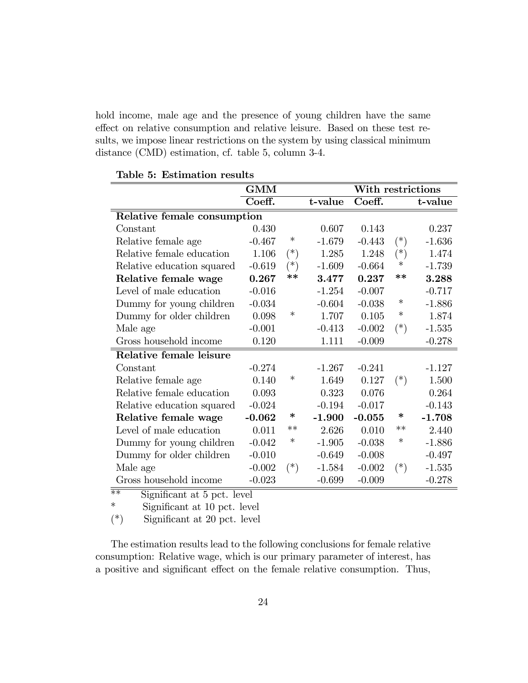hold income, male age and the presence of young children have the same effect on relative consumption and relative leisure. Based on these test results, we impose linear restrictions on the system by using classical minimum distance (CMD) estimation, cf. table 5, column 3-4.

|                             | <b>GMM</b> |          |          |          | With restrictions |          |
|-----------------------------|------------|----------|----------|----------|-------------------|----------|
|                             | Coeff.     |          | t-value  | Coeff.   |                   | t-value  |
| Relative female consumption |            |          |          |          |                   |          |
| Constant                    | 0.430      |          | 0.607    | 0.143    |                   | 0.237    |
| Relative female age         | $-0.467$   | $\ast$   | $-1.679$ | $-0.443$ | $(*)$             | $-1.636$ |
| Relative female education   | 1.106      | $(*)$    | 1.285    | 1.248    | $(*)$             | 1.474    |
| Relative education squared  | $-0.619$   | $(\ast)$ | $-1.609$ | $-0.664$ | $\ast$            | $-1.739$ |
| Relative female wage        | 0.267      | $**$     | 3.477    | 0.237    | $**$              | 3.288    |
| Level of male education     | $-0.016$   |          | $-1.254$ | $-0.007$ |                   | $-0.717$ |
| Dummy for young children    | $-0.034$   |          | $-0.604$ | $-0.038$ | $\ast$            | $-1.886$ |
| Dummy for older children    | 0.098      | $\ast$   | 1.707    | 0.105    | $\ast$            | 1.874    |
| Male age                    | $-0.001$   |          | $-0.413$ | $-0.002$ | $(*)$             | $-1.535$ |
| Gross household income      | 0.120      |          | 1.111    | $-0.009$ |                   | $-0.278$ |
| Relative female leisure     |            |          |          |          |                   |          |
| Constant                    | $-0.274$   |          | $-1.267$ | $-0.241$ |                   | $-1.127$ |
| Relative female age         | 0.140      | ∗        | 1.649    | 0.127    | $(*)$             | 1.500    |
| Relative female education   | 0.093      |          | 0.323    | 0.076    |                   | 0.264    |
| Relative education squared  | $-0.024$   |          | $-0.194$ | $-0.017$ |                   | $-0.143$ |
| Relative female wage        | $-0.062$   | ∗        | $-1.900$ | $-0.055$ | ∗                 | $-1.708$ |
| Level of male education     | 0.011      | $**$     | 2.626    | 0.010    | $**$              | 2.440    |
| Dummy for young children    | $-0.042$   | $\ast$   | $-1.905$ | $-0.038$ | $\ast$            | $-1.886$ |
| Dummy for older children    | $-0.010$   |          | $-0.649$ | $-0.008$ |                   | $-0.497$ |
| Male age                    | $-0.002$   | $(*)$    | $-1.584$ | $-0.002$ | $(*)$             | $-1.535$ |
| Gross household income      | $-0.023$   |          | $-0.699$ | $-0.009$ |                   | $-0.278$ |

#### Table 5: Estimation results

 $***$  Significant at 5 pct. level

\* Significant at 10 pct. level

 $(*)$  Significant at 20 pct. level

The estimation results lead to the following conclusions for female relative consumption: Relative wage, which is our primary parameter of interest, has a positive and significant effect on the female relative consumption. Thus,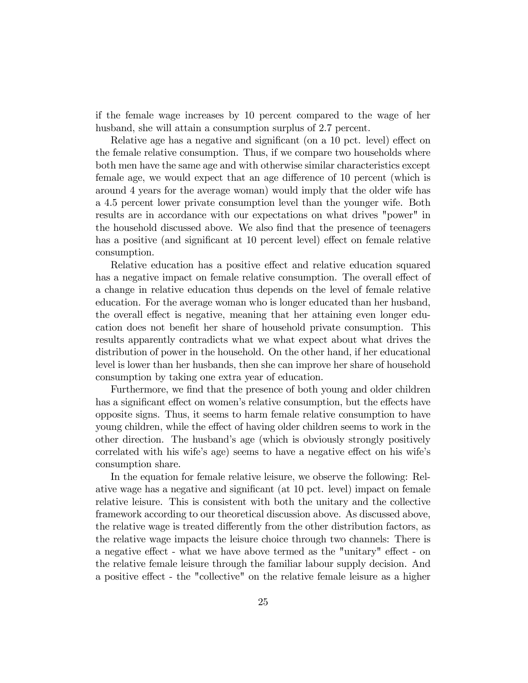if the female wage increases by 10 percent compared to the wage of her husband, she will attain a consumption surplus of 2.7 percent.

Relative age has a negative and significant (on a 10 pct. level) effect on the female relative consumption. Thus, if we compare two households where both men have the same age and with otherwise similar characteristics except female age, we would expect that an age difference of 10 percent (which is around 4 years for the average woman) would imply that the older wife has a 4.5 percent lower private consumption level than the younger wife. Both results are in accordance with our expectations on what drives "power" in the household discussed above. We also find that the presence of teenagers has a positive (and significant at 10 percent level) effect on female relative consumption.

Relative education has a positive effect and relative education squared has a negative impact on female relative consumption. The overall effect of a change in relative education thus depends on the level of female relative education. For the average woman who is longer educated than her husband, the overall effect is negative, meaning that her attaining even longer education does not benefit her share of household private consumption. This results apparently contradicts what we what expect about what drives the distribution of power in the household. On the other hand, if her educational level is lower than her husbands, then she can improve her share of household consumption by taking one extra year of education.

Furthermore, we find that the presence of both young and older children has a significant effect on women's relative consumption, but the effects have opposite signs. Thus, it seems to harm female relative consumption to have young children, while the effect of having older children seems to work in the other direction. The husbandís age (which is obviously strongly positively correlated with his wife's age) seems to have a negative effect on his wife's consumption share.

In the equation for female relative leisure, we observe the following: Relative wage has a negative and significant (at 10 pct. level) impact on female relative leisure. This is consistent with both the unitary and the collective framework according to our theoretical discussion above. As discussed above, the relative wage is treated differently from the other distribution factors, as the relative wage impacts the leisure choice through two channels: There is a negative effect - what we have above termed as the "unitary" effect - on the relative female leisure through the familiar labour supply decision. And a positive effect - the "collective" on the relative female leisure as a higher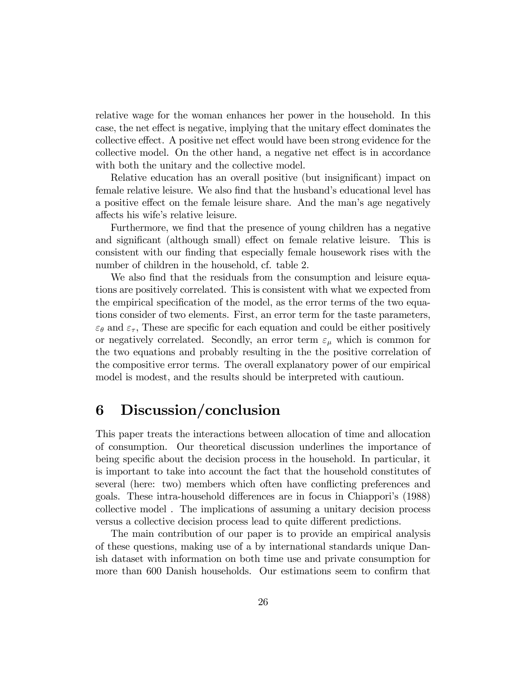relative wage for the woman enhances her power in the household. In this case, the net effect is negative, implying that the unitary effect dominates the collective effect. A positive net effect would have been strong evidence for the collective model. On the other hand, a negative net effect is in accordance with both the unitary and the collective model.

Relative education has an overall positive (but insignificant) impact on female relative leisure. We also find that the husband's educational level has a positive effect on the female leisure share. And the man's age negatively affects his wife's relative leisure.

Furthermore, we find that the presence of young children has a negative and significant (although small) effect on female relative leisure. This is consistent with our finding that especially female housework rises with the number of children in the household, cf. table 2.

We also find that the residuals from the consumption and leisure equations are positively correlated. This is consistent with what we expected from the empirical specification of the model, as the error terms of the two equations consider of two elements. First, an error term for the taste parameters,  $\varepsilon_{\theta}$  and  $\varepsilon_{\tau}$ , These are specific for each equation and could be either positively or negatively correlated. Secondly, an error term  $\varepsilon_{\mu}$  which is common for the two equations and probably resulting in the the positive correlation of the compositive error terms. The overall explanatory power of our empirical model is modest, and the results should be interpreted with cautioun.

# 6 Discussion/conclusion

This paper treats the interactions between allocation of time and allocation of consumption. Our theoretical discussion underlines the importance of being specific about the decision process in the household. In particular, it is important to take into account the fact that the household constitutes of several (here: two) members which often have conflicting preferences and goals. These intra-household differences are in focus in Chiappori's (1988) collective model . The implications of assuming a unitary decision process versus a collective decision process lead to quite different predictions.

The main contribution of our paper is to provide an empirical analysis of these questions, making use of a by international standards unique Danish dataset with information on both time use and private consumption for more than 600 Danish households. Our estimations seem to confirm that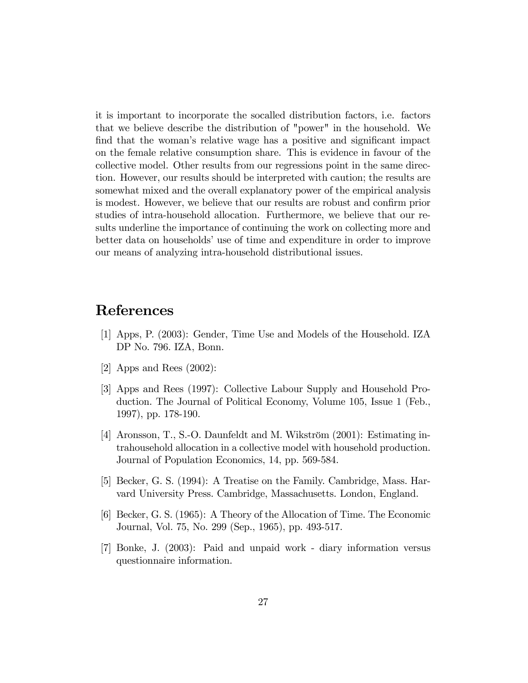it is important to incorporate the socalled distribution factors, i.e. factors that we believe describe the distribution of "power" in the household. We find that the woman's relative wage has a positive and significant impact on the female relative consumption share. This is evidence in favour of the collective model. Other results from our regressions point in the same direction. However, our results should be interpreted with caution; the results are somewhat mixed and the overall explanatory power of the empirical analysis is modest. However, we believe that our results are robust and confirm prior studies of intra-household allocation. Furthermore, we believe that our results underline the importance of continuing the work on collecting more and better data on households' use of time and expenditure in order to improve our means of analyzing intra-household distributional issues.

# References

- [1] Apps, P. (2003): Gender, Time Use and Models of the Household. IZA DP No. 796. IZA, Bonn.
- [2] Apps and Rees (2002):
- [3] Apps and Rees (1997): Collective Labour Supply and Household Production. The Journal of Political Economy, Volume 105, Issue 1 (Feb., 1997), pp. 178-190.
- [4] Aronsson, T., S.-O. Daunfeldt and M. Wikström  $(2001)$ : Estimating intrahousehold allocation in a collective model with household production. Journal of Population Economics, 14, pp. 569-584.
- [5] Becker, G. S. (1994): A Treatise on the Family. Cambridge, Mass. Harvard University Press. Cambridge, Massachusetts. London, England.
- [6] Becker, G. S. (1965): A Theory of the Allocation of Time. The Economic Journal, Vol. 75, No. 299 (Sep., 1965), pp. 493-517.
- [7] Bonke, J. (2003): Paid and unpaid work diary information versus questionnaire information.